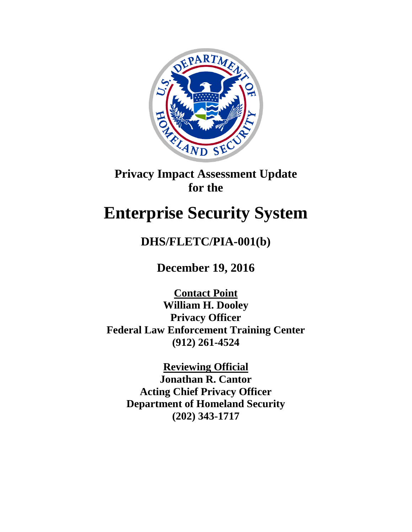

# **Privacy Impact Assessment Update for the**

# **Enterprise Security System**

# **DHS/FLETC/PIA-001(b)**

**December 19, 2016**

**Contact Point William H. Dooley Privacy Officer Federal Law Enforcement Training Center (912) 261-4524**

> **Reviewing Official Jonathan R. Cantor Acting Chief Privacy Officer Department of Homeland Security (202) 343-1717**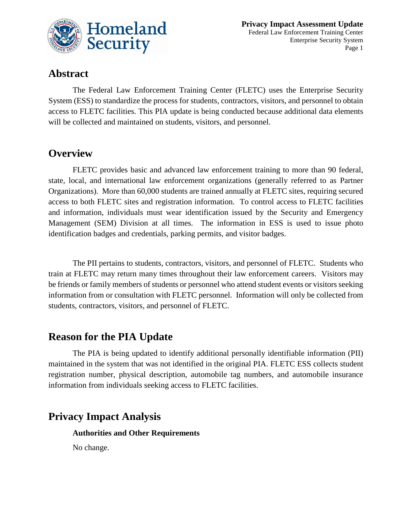

### **Abstract**

The Federal Law Enforcement Training Center (FLETC) uses the Enterprise Security System (ESS) to standardize the process for students, contractors, visitors, and personnel to obtain access to FLETC facilities. This PIA update is being conducted because additional data elements will be collected and maintained on students, visitors, and personnel.

## **Overview**

FLETC provides basic and advanced law enforcement training to more than 90 federal, state, local, and international law enforcement organizations (generally referred to as Partner Organizations). More than 60,000 students are trained annually at FLETC sites, requiring secured access to both FLETC sites and registration information. To control access to FLETC facilities and information, individuals must wear identification issued by the Security and Emergency Management (SEM) Division at all times. The information in ESS is used to issue photo identification badges and credentials, parking permits, and visitor badges.

The PII pertains to students, contractors, visitors, and personnel of FLETC. Students who train at FLETC may return many times throughout their law enforcement careers. Visitors may be friends or family members of students or personnel who attend student events or visitors seeking information from or consultation with FLETC personnel. Information will only be collected from students, contractors, visitors, and personnel of FLETC.

### **Reason for the PIA Update**

The PIA is being updated to identify additional personally identifiable information (PII) maintained in the system that was not identified in the original PIA. FLETC ESS collects student registration number, physical description, automobile tag numbers, and automobile insurance information from individuals seeking access to FLETC facilities.

# **Privacy Impact Analysis**

#### **Authorities and Other Requirements**

No change.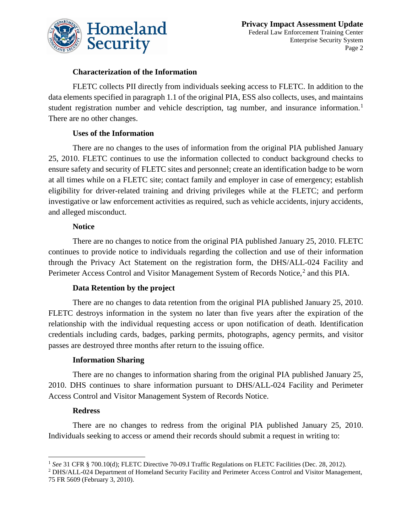

#### **Characterization of the Information**

FLETC collects PII directly from individuals seeking access to FLETC. In addition to the data elements specified in paragraph 1.1 of the original PIA, ESS also collects, uses, and maintains student registration number and vehicle description, tag number, and insurance information.<sup>[1](#page-2-0)</sup> There are no other changes.

#### **Uses of the Information**

There are no changes to the uses of information from the original PIA published January 25, 2010. FLETC continues to use the information collected to conduct background checks to ensure safety and security of FLETC sites and personnel; create an identification badge to be worn at all times while on a FLETC site; contact family and employer in case of emergency; establish eligibility for driver-related training and driving privileges while at the FLETC; and perform investigative or law enforcement activities as required, such as vehicle accidents, injury accidents, and alleged misconduct.

#### **Notice**

There are no changes to notice from the original PIA published January 25, 2010. FLETC continues to provide notice to individuals regarding the collection and use of their information through the Privacy Act Statement on the registration form, the DHS/ALL-024 Facility and Perimeter Access Control and Visitor Management System of Records Notice,<sup>[2](#page-2-1)</sup> and this PIA.

#### **Data Retention by the project**

There are no changes to data retention from the original PIA published January 25, 2010. FLETC destroys information in the system no later than five years after the expiration of the relationship with the individual requesting access or upon notification of death. Identification credentials including cards, badges, parking permits, photographs, agency permits, and visitor passes are destroyed three months after return to the issuing office.

#### **Information Sharing**

There are no changes to information sharing from the original PIA published January 25, 2010. DHS continues to share information pursuant to DHS/ALL-024 Facility and Perimeter Access Control and Visitor Management System of Records Notice.

#### **Redress**

 $\overline{a}$ 

There are no changes to redress from the original PIA published January 25, 2010. Individuals seeking to access or amend their records should submit a request in writing to:

<span id="page-2-0"></span><sup>1</sup> *See* 31 CFR § 700.10(d); FLETC Directive 70-09.I Traffic Regulations on FLETC Facilities (Dec. 28, 2012).

<span id="page-2-1"></span><sup>2</sup> DHS/ALL-024 Department of Homeland Security Facility and Perimeter Access Control and Visitor Management, 75 FR 5609 (February 3, 2010).